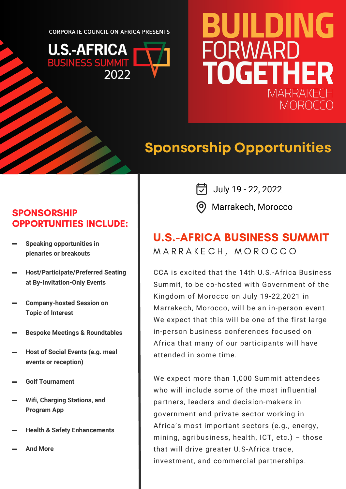**CORPORATE COUNCIL ON AFRICA PRESENTS** 



# BUILDING **FORWARD** TOGETHER **MARRAKF MOROCC**

## **Sponsorship Opportunities**

#### **SPONSORSHIP** OPPORTUNITIES INCLUDE:

- **Speaking opportunities in plenaries or breakouts**
- **Host/Participate/Preferred Seating at By-Invitation-Only Events**
- **Company-hosted Session on Topic of Interest**
- **Bespoke Meetings & Roundtables**
- **Host of Social Events (e.g. meal events or reception)**
- **Golf Tournament**
- **Wifi, Charging Stations, and Program App**
- **Health & Safety Enhancements**
- **And More**

 $\boxed{7}$  July 19 - 22, 2022

Marrakech, Morocco

#### M A R R A K E C H , M O R O C C O U.S.-AFRICA BUSINESS SUMMIT

CCA is excited that the 14th U.S.-Africa Business Summit, to be co-hosted with Government of the Kingdom of Morocco on July 19-22,2021 in Marrakech, Morocco, will be an in-person event. We expect that this will be one of the first large in-person business conferences focused on Africa that many of our participants will have attended in some time.

We expect more than 1,000 Summit attendees who will include some of the most influential partners, leaders and decision-makers in government and private sector working in Africa's most important sectors (e.g., energy, mining, agribusiness, health, ICT, etc.) – those that will drive greater U.S-Africa trade, investment, and commercial partnerships.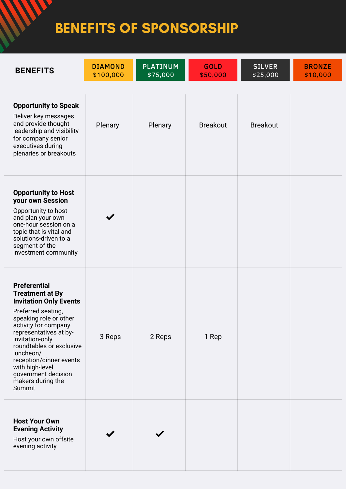## BENEFITS OF SPONSORSHIP

M

| <b>BENEFITS</b>                                                                                                                                                                                                                                                                                                                                  | <b>DIAMOND</b><br>\$100,000 | <b>PLATINUM</b><br>\$75,000 | <b>GOLD</b><br>\$50,000 | <b>SILVER</b><br>\$25,000 | <b>BRONZE</b><br>\$10,000 |
|--------------------------------------------------------------------------------------------------------------------------------------------------------------------------------------------------------------------------------------------------------------------------------------------------------------------------------------------------|-----------------------------|-----------------------------|-------------------------|---------------------------|---------------------------|
| <b>Opportunity to Speak</b><br>Deliver key messages<br>and provide thought<br>leadership and visibility<br>for company senior<br>executives during<br>plenaries or breakouts                                                                                                                                                                     | Plenary                     | Plenary                     | <b>Breakout</b>         | <b>Breakout</b>           |                           |
| <b>Opportunity to Host</b><br>your own Session<br>Opportunity to host<br>and plan your own<br>one-hour session on a<br>topic that is vital and<br>solutions-driven to a<br>segment of the<br>investment community                                                                                                                                |                             |                             |                         |                           |                           |
| <b>Preferential</b><br><b>Treatment at By</b><br><b>Invitation Only Events</b><br>Preferred seating,<br>speaking role or other<br>activity for company<br>representatives at by-<br>invitation-only<br>roundtables or exclusive<br>luncheon/<br>reception/dinner events<br>with high-level<br>government decision<br>makers during the<br>Summit | 3 Reps                      | 2 Reps                      | 1 Rep                   |                           |                           |
| <b>Host Your Own</b><br><b>Evening Activity</b><br>Host your own offsite<br>evening activity                                                                                                                                                                                                                                                     |                             |                             |                         |                           |                           |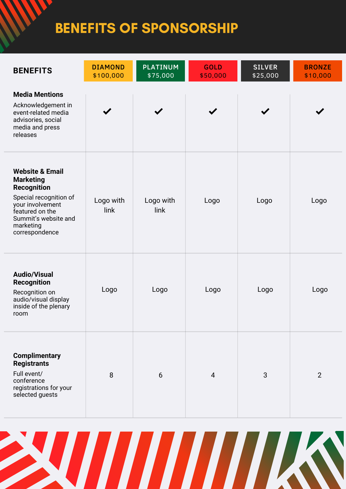## BENEFITS OF SPONSORSHIP

| <b>BENEFITS</b>                                                                                                                                                                              | <b>DIAMOND</b><br>\$100,000 | <b>PLATINUM</b><br>\$75,000 | <b>GOLD</b><br>\$50,000 | <b>SILVER</b><br>\$25,000 | <b>BRONZE</b><br>\$10,000 |
|----------------------------------------------------------------------------------------------------------------------------------------------------------------------------------------------|-----------------------------|-----------------------------|-------------------------|---------------------------|---------------------------|
| <b>Media Mentions</b><br>Acknowledgement in<br>event-related media<br>advisories, social<br>media and press<br>releases                                                                      |                             |                             |                         |                           |                           |
| <b>Website &amp; Email</b><br><b>Marketing</b><br><b>Recognition</b><br>Special recognition of<br>your involvement<br>featured on the<br>Summit's website and<br>marketing<br>correspondence | Logo with<br>link           | Logo with<br>link           | Logo                    | Logo                      | Logo                      |
| <b>Audio/Visual</b><br><b>Recognition</b><br>Recognition on<br>audio/visual display<br>inside of the plenary<br>room                                                                         | Logo                        | Logo                        | Logo                    | Logo                      | Logo                      |
| <b>Complimentary</b><br><b>Registrants</b><br>Full event/<br>conference<br>registrations for your<br>selected guests                                                                         | 8                           | 6                           | 4                       | 3                         | $\overline{2}$            |

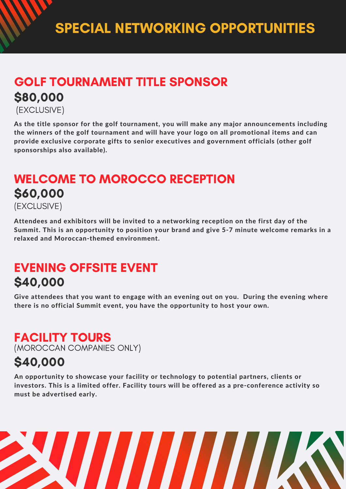## GOLF TOURNAMENT TITLE SPONSOR \$80,000

(EXCLUSIVE)

As the title sponsor for the golf tournament, you will make any major announcements including the winners of the golf tournament and will have your logo on all promotional items and can provide exclusive corporate gifts to senior executives and government officials (other golf sponsorships also available).

#### WELCOME TO MOROCCO RECEPTION \$60,000 (EXCLUSIVE)

Attendees and exhibitors will be invited to a networking reception on the first day of the Summit. This is an opportunity to position your brand and give 5-7 minute welcome remarks in a relaxed and Moroccan-themed environment.

### EVENING OFFSITE EVENT \$40,000

Give attendees that you want to engage with an evening out on you. During the evening where there is no official Summit event, you have the opportunity to host your own.

### FACILITY TOURS

(MOROCCAN COMPANIES ONLY)

### \$40,000

An opportunity to showcase your facility or technology to potential partners, clients or investors. This is a limited offer. Facility tours will be offered as a pre-conference activity so must be advertised early.

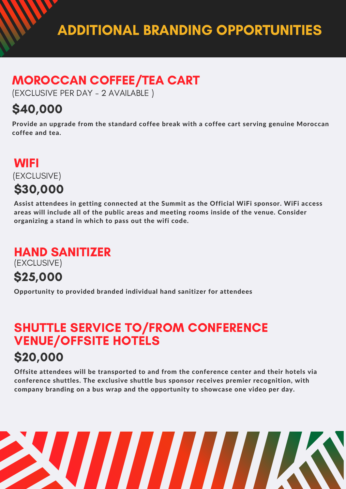### MOROCCAN COFFEE/TEA CART

(EXCLUSIVE PER DAY - 2 AVAILABLE )

### \$40,000

Provide an upgrade from the standard coffee break with a coffee cart serving genuine Moroccan coffee and tea.

#### **WIFI** \$30,000 (EXCLUSIVE)

Assist attendees in getting connected at the Summit as the Official WiFi sponsor. WiFi access areas will include all of the public areas and meeting rooms inside of the venue. Consider organizing a stand in which to pass out the wifi code.

### HAND SANITIZER

(EXCLUSIVE)

### \$25,000

Opportunity to provided branded individual hand sanitizer for attendees

### SHUTTLE SERVICE TO/FROM CONFERENCE VENUE/OFFSITE HOTELS

### \$20,000

Offsite attendees will be transported to and from the conference center and their hotels via conference shuttles. The exclusive shuttle bus sponsor receives premier recognition, with company branding on a bus wrap and the opportunity to showcase one video per day.